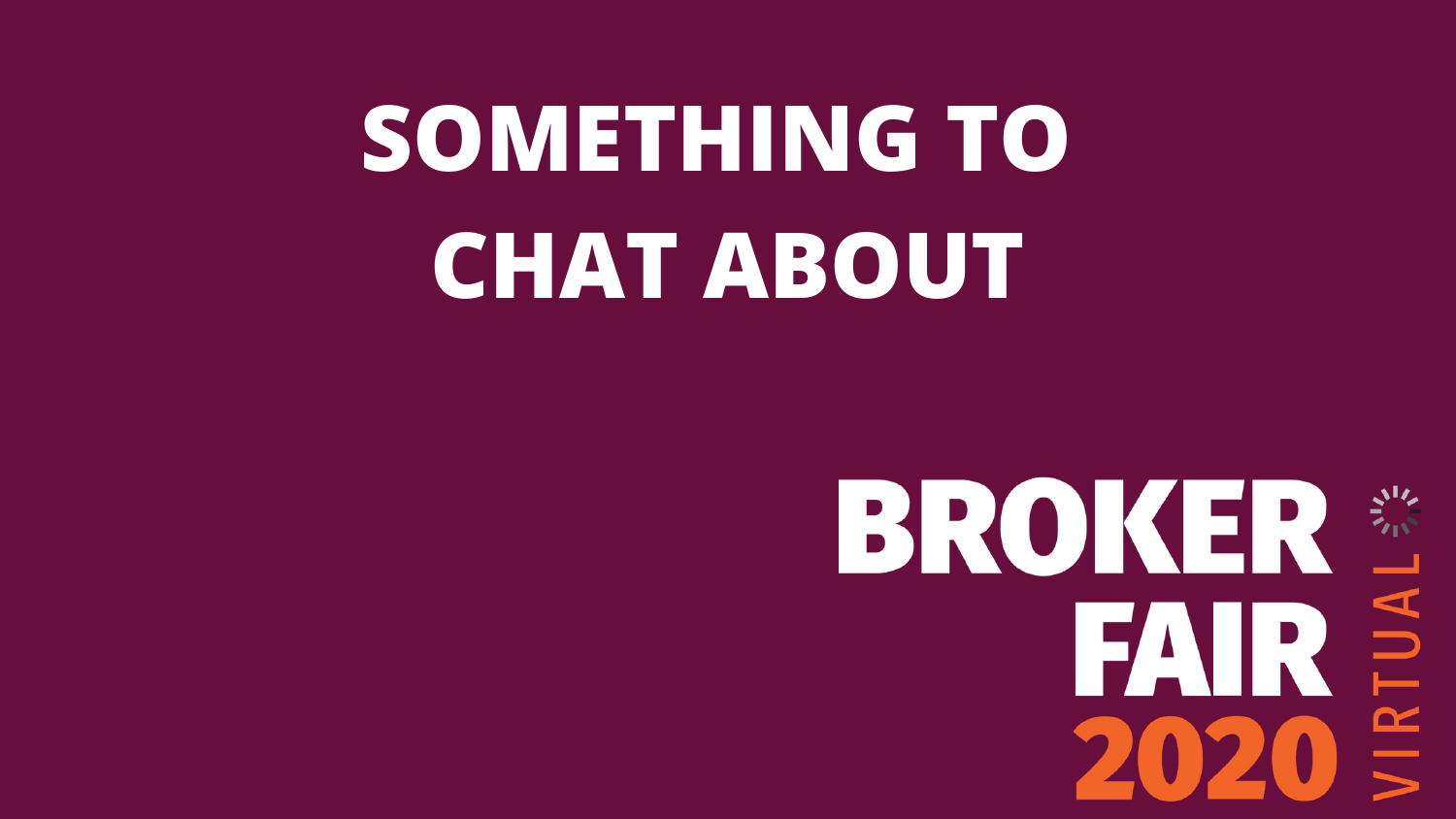# **SOMETHING TO CHAT ABOUT**

BROKER SIX  $\overrightarrow{2020} \leq$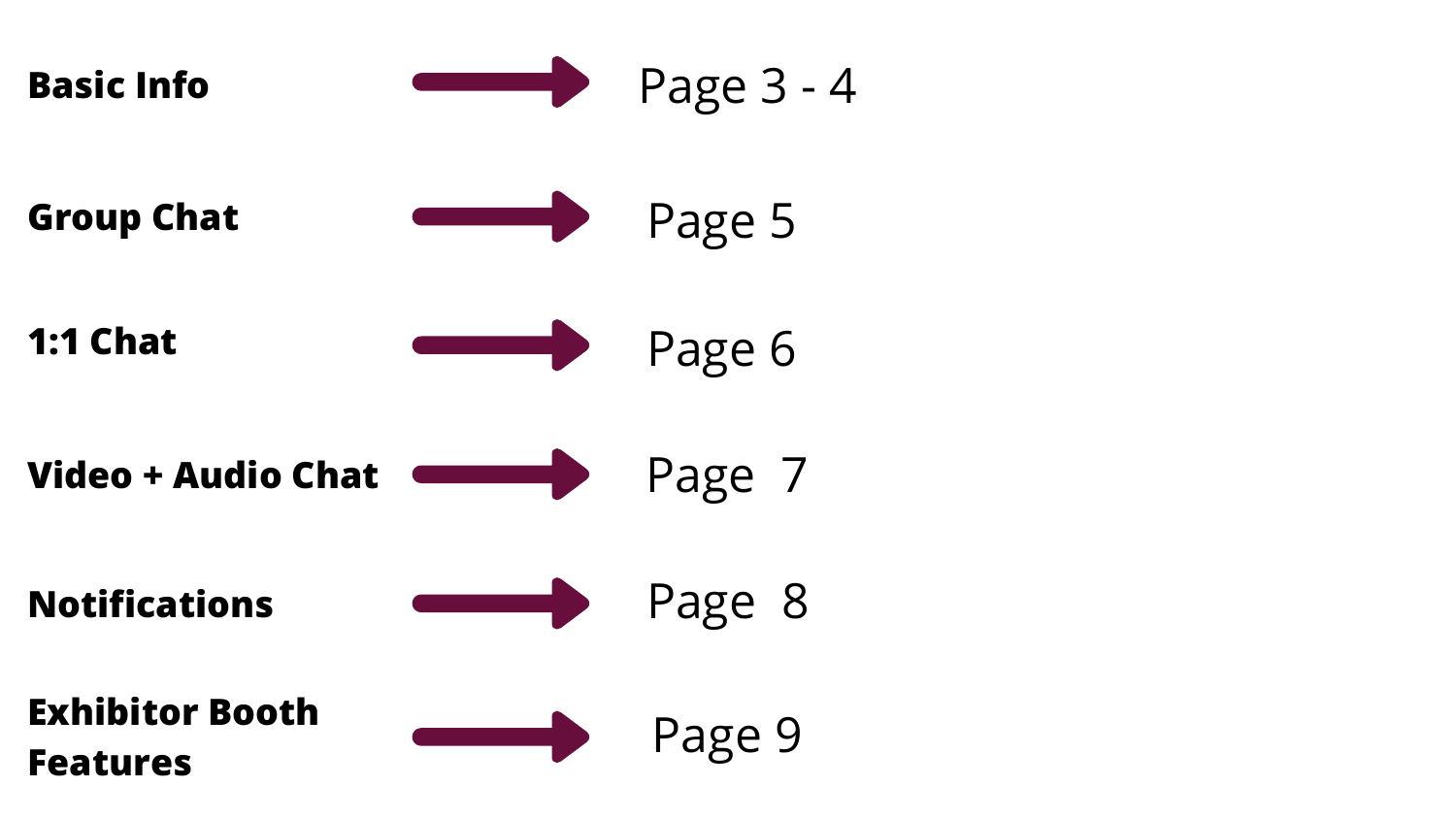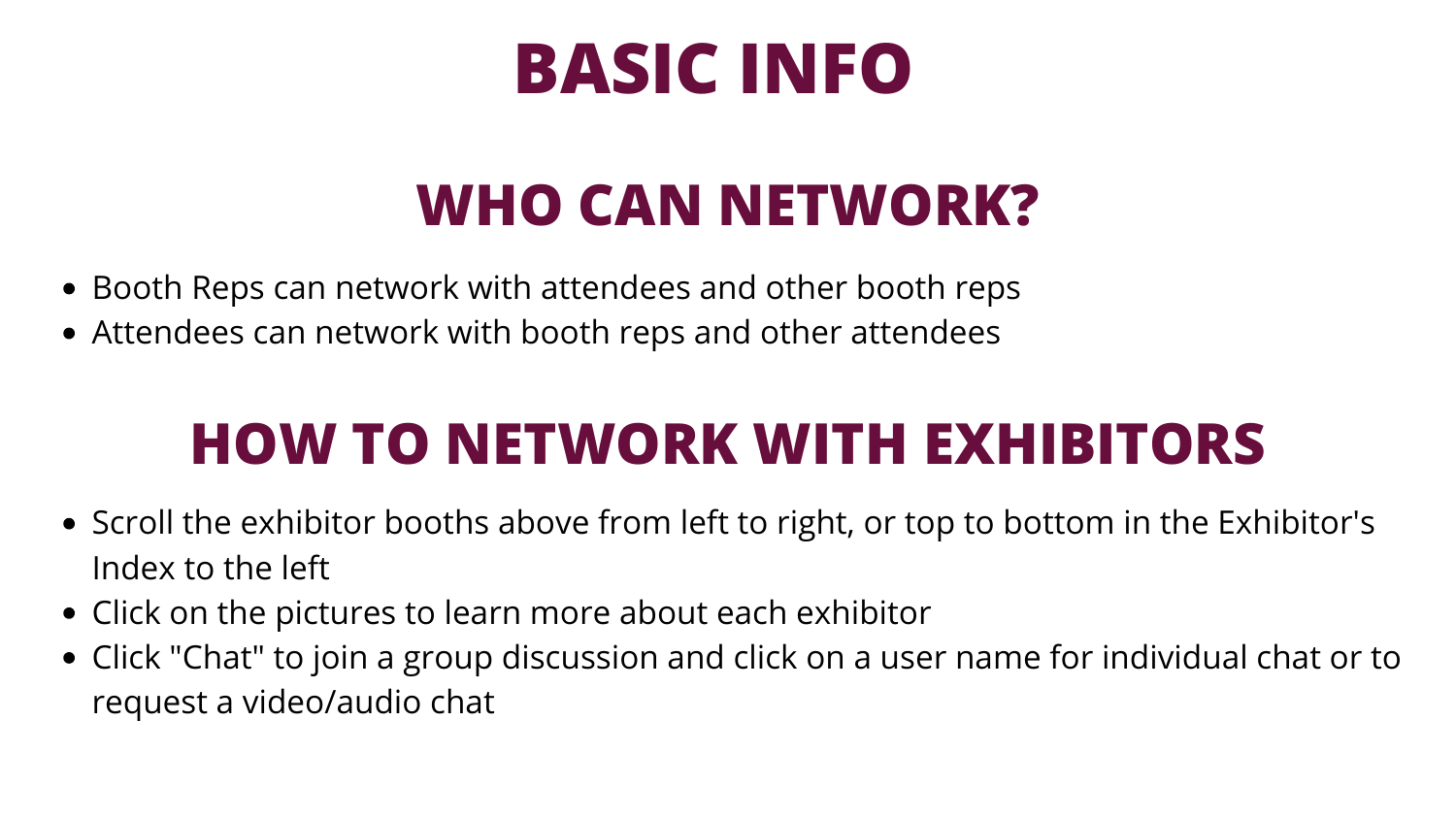### **WHO CAN NETWORK?**

- Booth Reps can network with attendees and other booth reps
- Attendees can network with booth reps and other attendees

## **BASIC INFO**

### **HOW TO NETWORK WITH EXHIBITORS**

- Scroll the exhibitor booths above from left to right, or top to bottom in the Exhibitor's Index to the left
- Click on the pictures to learn more about each exhibitor
- Click "Chat" to join a group discussion and click on a user name for individual chat or to request a video/audio chat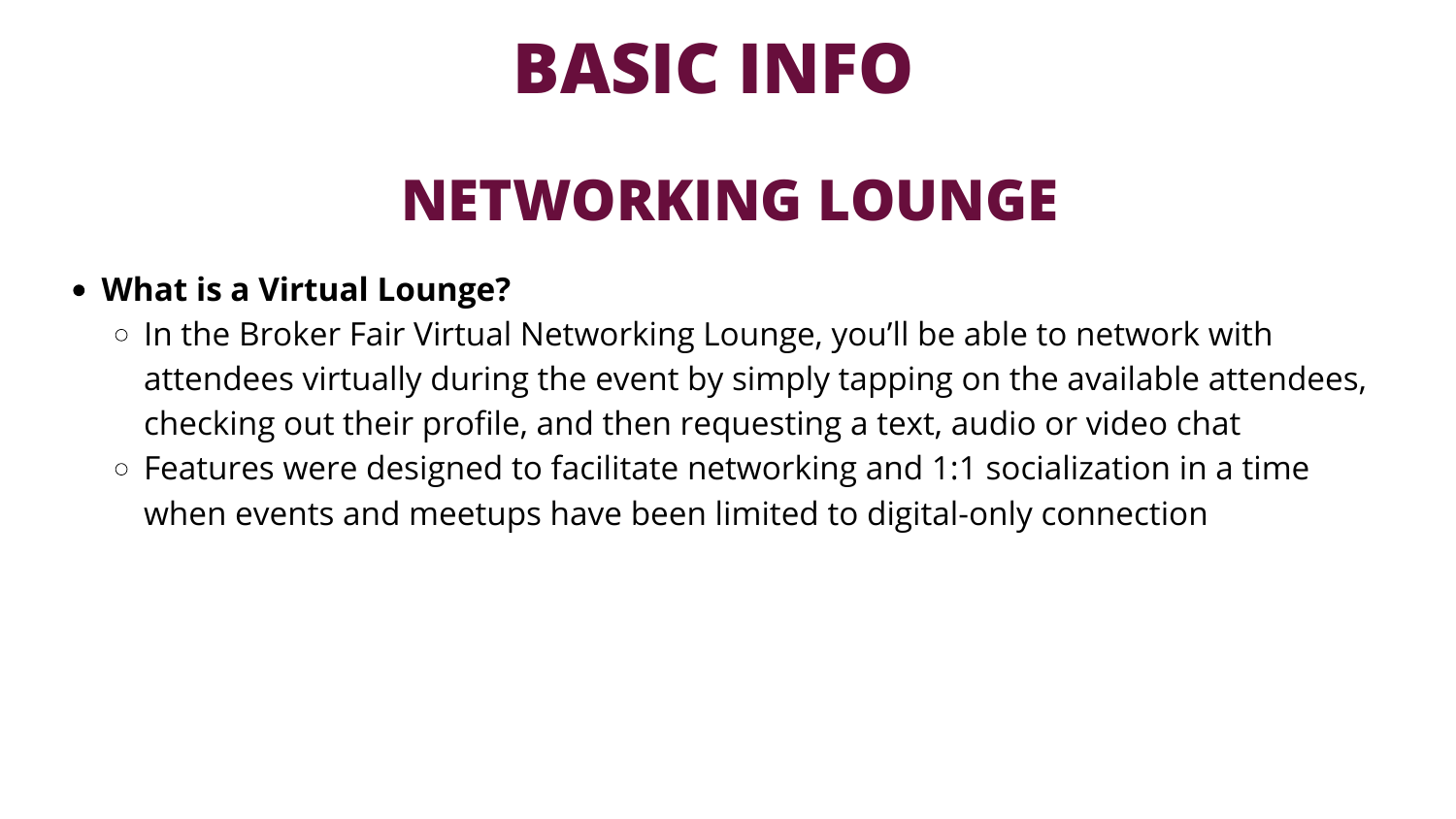## **BASIC INFO**

### **NETWORKING LOUNGE**

### **What is a Virtual Lounge?**

- In the Broker Fair Virtual Networking Lounge, you'll be able to network with attendees virtually during the event by simply tapping on the available attendees, checking out their profile, and then requesting a text, audio or video chat
- $\circ$  Features were designed to facilitate networking and 1:1 socialization in a time when events and meetups have been limited to digital-only connection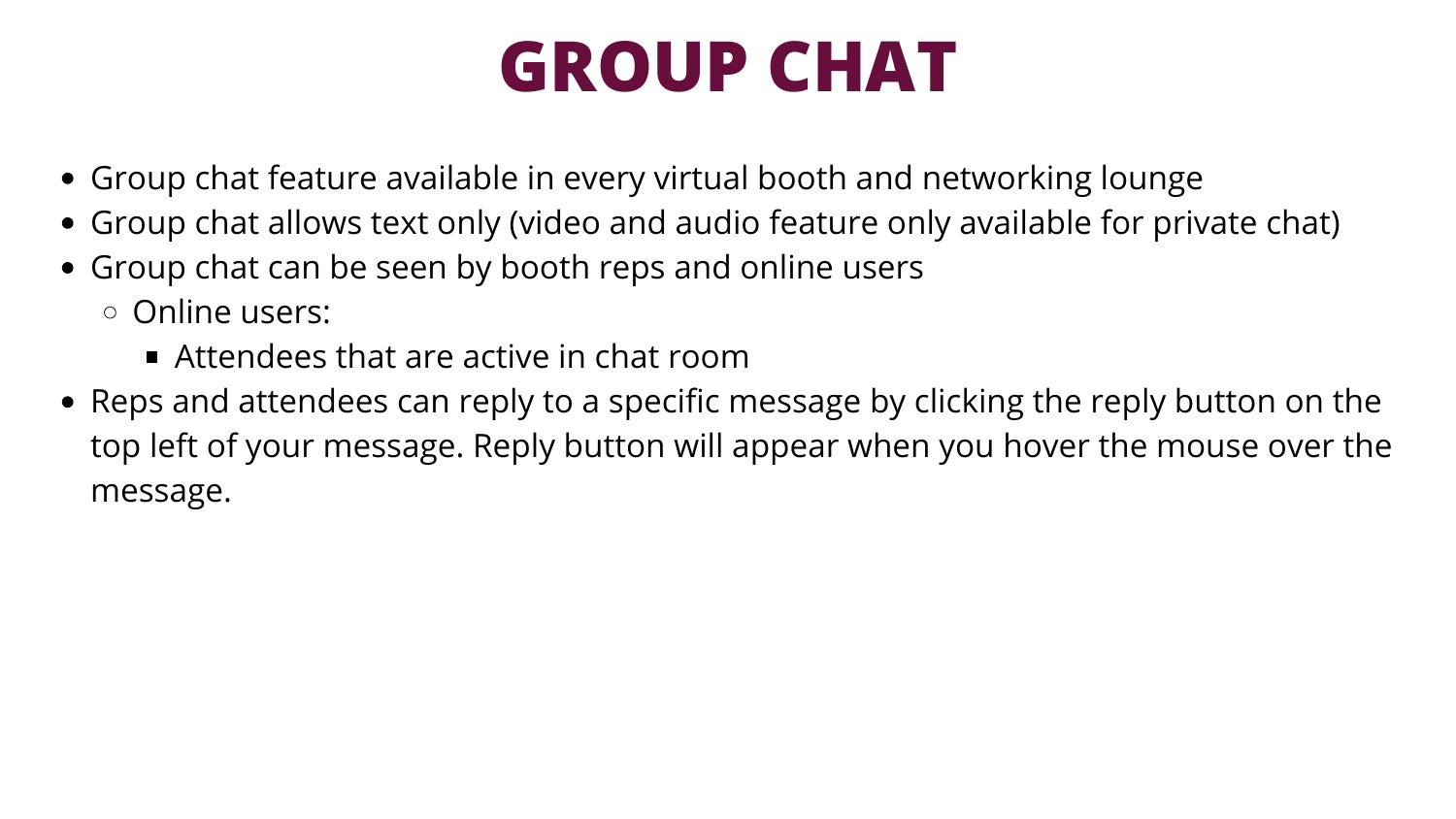### **GROUP CHAT**

- 
- Group chat feature available in every virtual booth and networking lounge Group chat allows text only (video and audio feature only available for private chat) Group chat can be seen by booth reps and online users
- Online users:
	- Attendees that are active in chat room
- Reps and attendees can reply to a specific message by clicking the reply button on the top left of your message. Reply button will appear when you hover the mouse over the message.

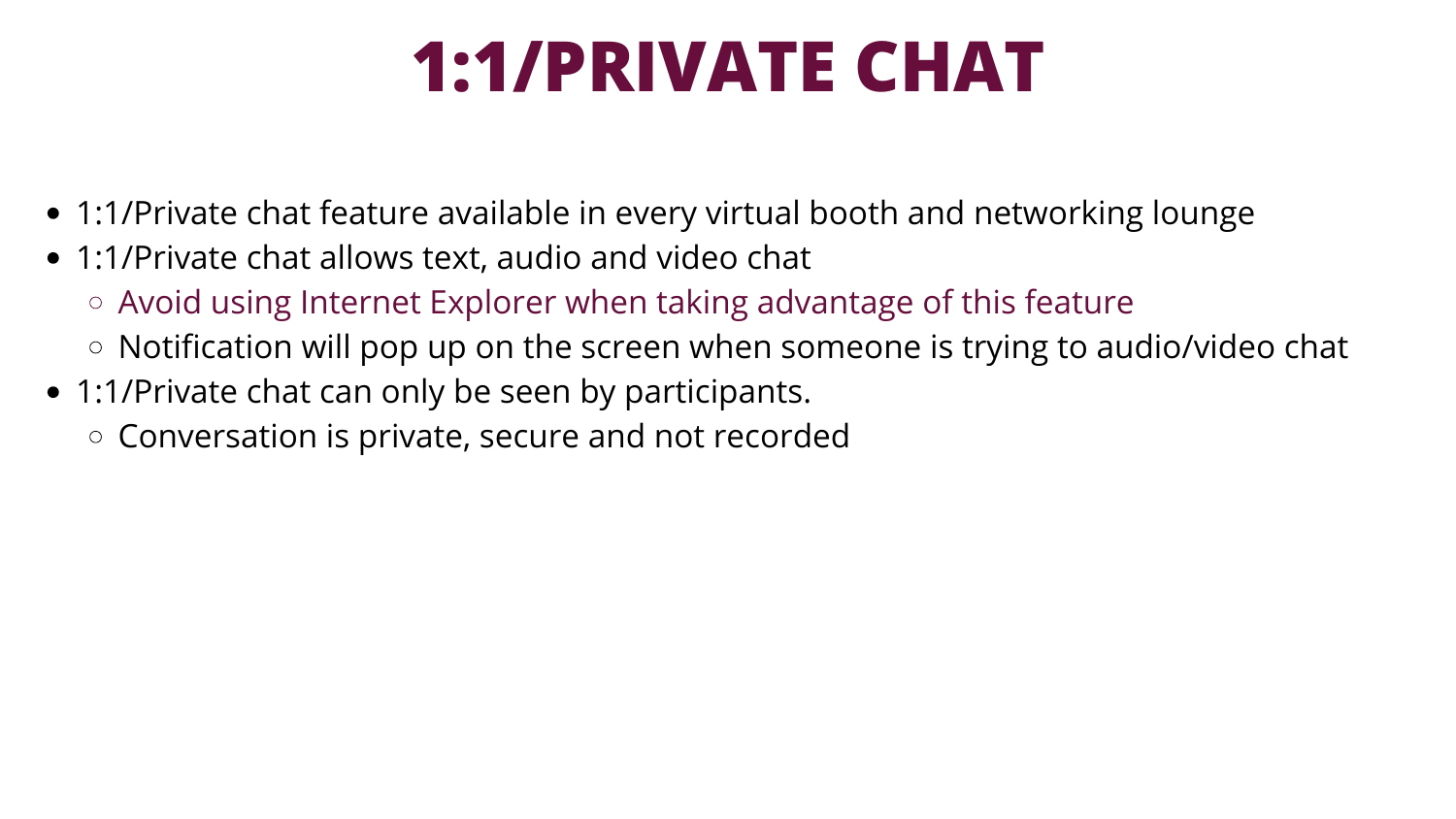## **1:1/PRIVATE CHAT**

- 1:1/Private chat feature available in every virtual booth and networking lounge
- 1:1/Private chat allows text, audio and video chat
	- Avoid using Internet Explorer when taking advantage of this feature
	- $\circ$  Notification will pop up on the screen when someone is trying to audio/video chat
- 1:1/Private chat can only be seen by participants.
	- $\circ$  Conversation is private, secure and not recorded

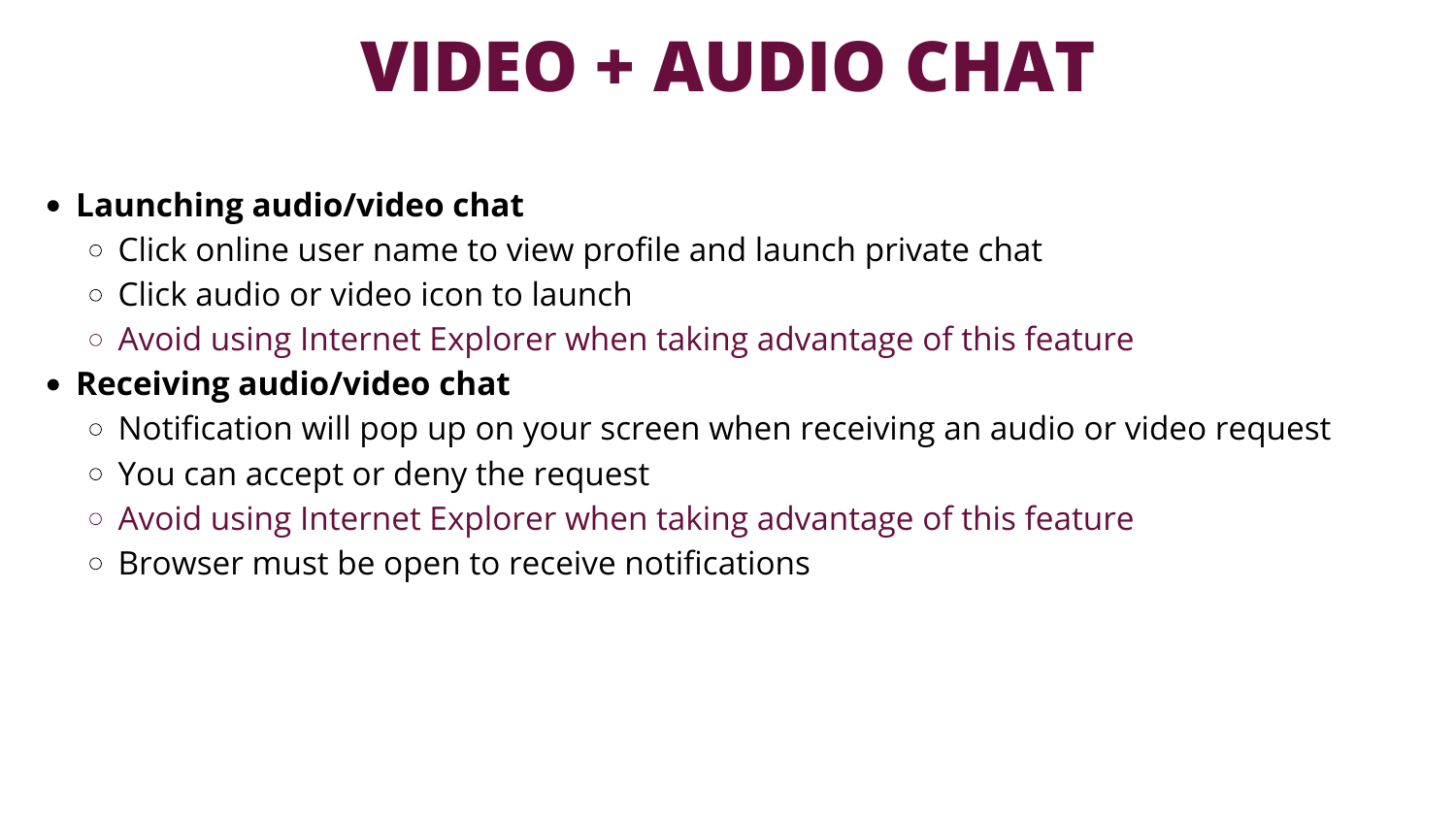## **VIDEO + AUDIO CHAT**

### **Launching audio/video chat**

- $\circ$  Click online user name to view profile and launch private chat
- $\circ$  Click audio or video icon to launch
- Avoid using Internet Explorer when taking advantage of this feature

### **Receiving audio/video chat**

- $\circ$  Notification will pop up on your screen when receiving an audio or video request
- You can accept or deny the request
- Avoid using Internet Explorer when taking advantage of this feature
- $\circ$  Browser must be open to receive notifications

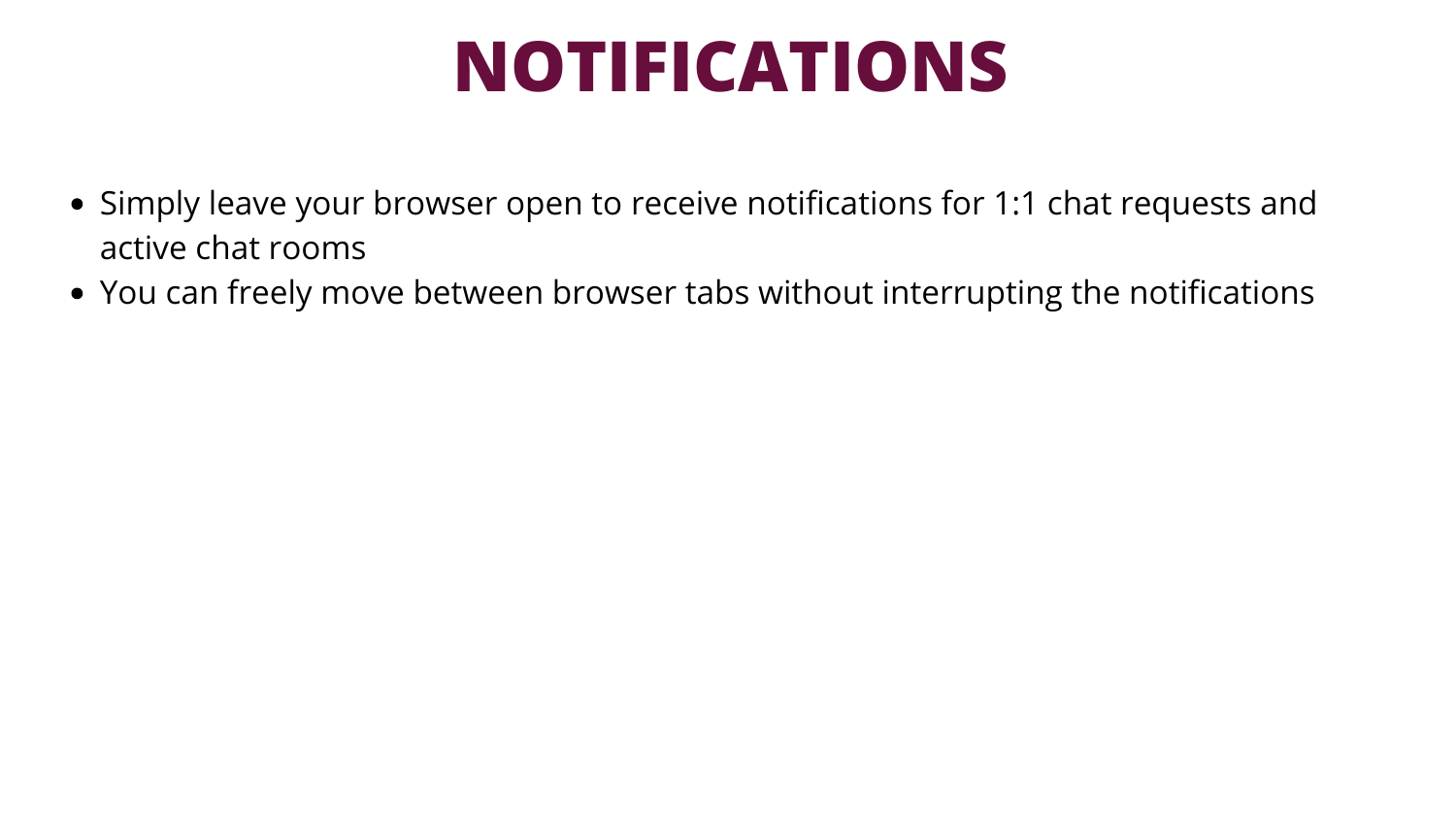### **NOTIFICATIONS**

- Simply leave your browser open to receive notifications for 1:1 chat requests and active chat rooms
- You can freely move between browser tabs without interrupting the notifications